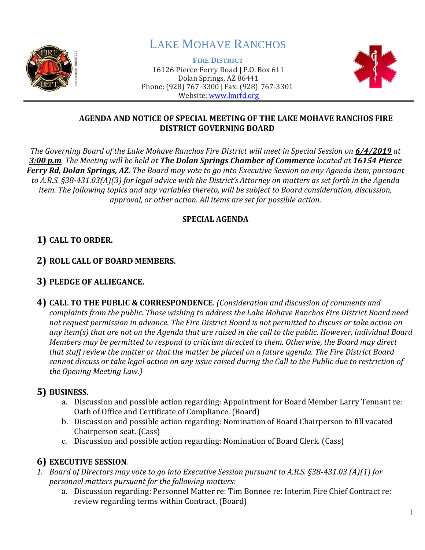

# LAKE MOHAVE RANCHOS

**FIRE DISTRICT** 16126 Pierce Ferry Road | P.O. Box 611 Dolan Springs, AZ 86441 Phone: (928) 767-3300 | Fax: (928) 767-3301 Website: [www.lmrfd.org](http://www.lmrfd.org/)



#### **AGENDA AND NOTICE OF SPECIAL MEETING OF THE LAKE MOHAVE RANCHOS FIRE DISTRICT GOVERNING BOARD**

*The Governing Board of the Lake Mohave Ranchos Fire District will meet in Special Session on 6/4/2019 at 3:00 p.m. The Meeting will be held at The Dolan Springs Chamber of Commerce located at 16154 Pierce Ferry Rd, Dolan Springs, AZ. The Board may vote to go into Executive Session on any Agenda item, pursuant to A.R.S. §38-431.03(A)(3) for legal advice with the District's Attorney on matters as set forth in the Agenda item. The following topics and any variables thereto, will be subject to Board consideration, discussion, approval, or other action. All items are set for possible action.*

#### **SPECIAL AGENDA**

# **1) CALL TO ORDER.**

## **2) ROLL CALL OF BOARD MEMBERS.**

## **3) PLEDGE OF ALLIEGANCE.**

**4) CALL TO THE PUBLIC & CORRESPONDENCE**. *(Consideration and discussion of comments and complaints from the public. Those wishing to address the Lake Mohave Ranchos Fire District Board need not request permission in advance. The Fire District Board is not permitted to discuss or take action on any item(s) that are not on the Agenda that are raised in the call to the public. However, individual Board Members may be permitted to respond to criticism directed to them. Otherwise, the Board may direct that staff review the matter or that the matter be placed on a future agenda. The Fire District Board cannot discuss or take legal action on any issue raised during the Call to the Public due to restriction of the Opening Meeting Law.)*

## **5) BUSINESS.**

- a. Discussion and possible action regarding: Appointment for Board Member Larry Tennant re: Oath of Office and Certificate of Compliance. (Board)
- b. Discussion and possible action regarding: Nomination of Board Chairperson to fill vacated Chairperson seat. (Cass)
- c. Discussion and possible action regarding: Nomination of Board Clerk. (Cass)

# **6) EXECUTIVE SESSION***.*

- *1. Board of Directors may vote to go into Executive Session pursuant to A.R.S. §38-431.03 (A)(1) for personnel matters pursuant for the following matters:*
	- a. Discussion regarding: Personnel Matter re: Tim Bonnee re: Interim Fire Chief Contract re: review regarding terms within Contract. (Board)